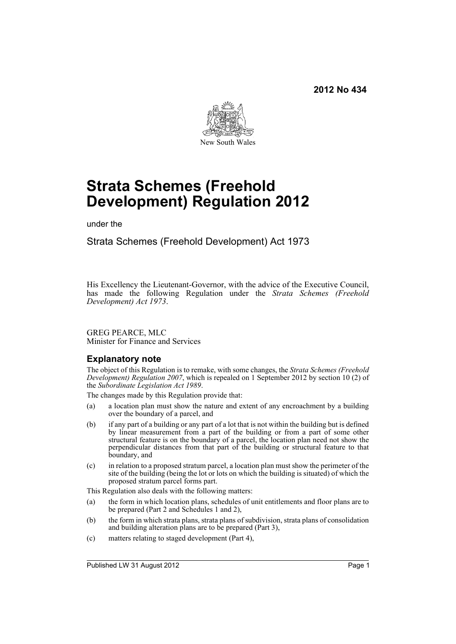

# **Strata Schemes (Freehold Development) Regulation 2012**

under the

Strata Schemes (Freehold Development) Act 1973

His Excellency the Lieutenant-Governor, with the advice of the Executive Council, has made the following Regulation under the *Strata Schemes (Freehold Development) Act 1973*.

#### GREG PEARCE, MLC Minister for Finance and Services

# **Explanatory note**

The object of this Regulation is to remake, with some changes, the *Strata Schemes (Freehold Development) Regulation 2007*, which is repealed on 1 September 2012 by section 10 (2) of the *Subordinate Legislation Act 1989*.

The changes made by this Regulation provide that:

- (a) a location plan must show the nature and extent of any encroachment by a building over the boundary of a parcel, and
- (b) if any part of a building or any part of a lot that is not within the building but is defined by linear measurement from a part of the building or from a part of some other structural feature is on the boundary of a parcel, the location plan need not show the perpendicular distances from that part of the building or structural feature to that boundary, and
- (c) in relation to a proposed stratum parcel, a location plan must show the perimeter of the site of the building (being the lot or lots on which the building is situated) of which the proposed stratum parcel forms part.

This Regulation also deals with the following matters:

- (a) the form in which location plans, schedules of unit entitlements and floor plans are to be prepared (Part 2 and Schedules 1 and 2),
- (b) the form in which strata plans, strata plans of subdivision, strata plans of consolidation and building alteration plans are to be prepared (Part 3),
- (c) matters relating to staged development (Part 4),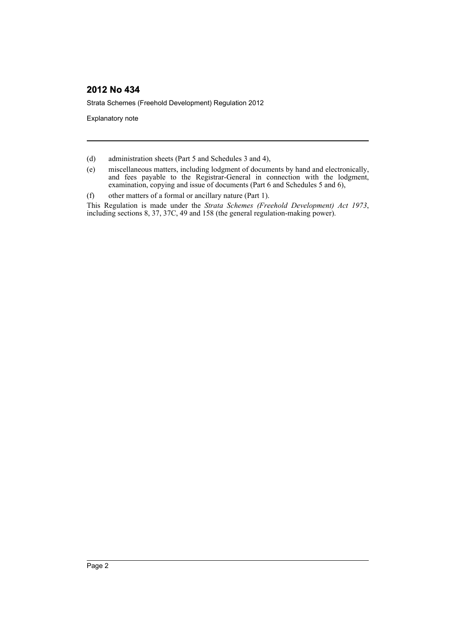Strata Schemes (Freehold Development) Regulation 2012

Explanatory note

- (d) administration sheets (Part 5 and Schedules 3 and 4),
- (e) miscellaneous matters, including lodgment of documents by hand and electronically, and fees payable to the Registrar-General in connection with the lodgment, examination, copying and issue of documents (Part 6 and Schedules 5 and 6),
- (f) other matters of a formal or ancillary nature (Part 1).

This Regulation is made under the *Strata Schemes (Freehold Development) Act 1973*, including sections 8, 37, 37C, 49 and 158 (the general regulation-making power).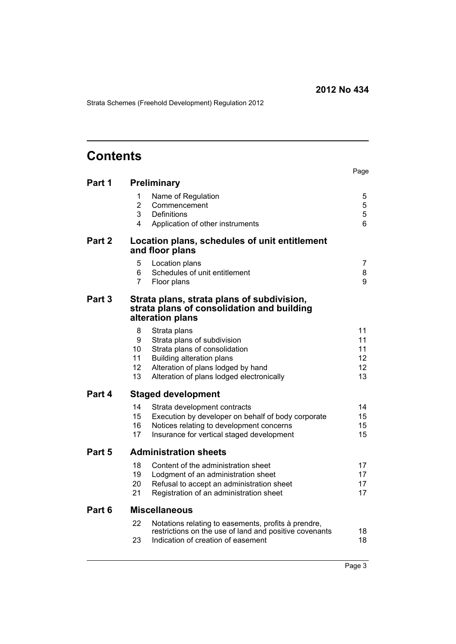Strata Schemes (Freehold Development) Regulation 2012

# **Contents**

|        |                |                                                                                                               | Page                  |
|--------|----------------|---------------------------------------------------------------------------------------------------------------|-----------------------|
| Part 1 |                | Preliminary                                                                                                   |                       |
|        | 1              | Name of Regulation                                                                                            | 5                     |
|        | $\overline{2}$ | Commencement                                                                                                  | 5                     |
|        | 3              | Definitions                                                                                                   | 5                     |
|        | 4              | Application of other instruments                                                                              | 6                     |
| Part 2 |                | Location plans, schedules of unit entitlement<br>and floor plans                                              |                       |
|        | 5              | Location plans                                                                                                | 7                     |
|        | 6              | Schedules of unit entitlement                                                                                 | 8                     |
|        | $\overline{7}$ | Floor plans                                                                                                   | 9                     |
| Part 3 |                | Strata plans, strata plans of subdivision,<br>strata plans of consolidation and building<br>alteration plans  |                       |
|        | 8              | Strata plans                                                                                                  | 11                    |
|        | 9              | Strata plans of subdivision                                                                                   | 11                    |
|        | 10<br>11       | Strata plans of consolidation                                                                                 | 11<br>12 <sup>2</sup> |
|        | 12             | Building alteration plans<br>Alteration of plans lodged by hand                                               | 12                    |
|        | 13             | Alteration of plans lodged electronically                                                                     | 13                    |
| Part 4 |                | <b>Staged development</b>                                                                                     |                       |
|        | 14             | Strata development contracts                                                                                  | 14                    |
|        | 15             | Execution by developer on behalf of body corporate                                                            | 15                    |
|        | 16             | Notices relating to development concerns                                                                      | 15                    |
|        | 17             | Insurance for vertical staged development                                                                     | 15                    |
| Part 5 |                | <b>Administration sheets</b>                                                                                  |                       |
|        | 18             | Content of the administration sheet                                                                           | 17                    |
|        | 19             | Lodgment of an administration sheet                                                                           | 17                    |
|        | 20             | Refusal to accept an administration sheet                                                                     | 17                    |
|        | 21             | Registration of an administration sheet                                                                       | 17                    |
| Part 6 |                | <b>Miscellaneous</b>                                                                                          |                       |
|        | 22             | Notations relating to easements, profits à prendre,<br>restrictions on the use of land and positive covenants | 18                    |
|        | 23             | Indication of creation of easement                                                                            | 18                    |
|        |                |                                                                                                               |                       |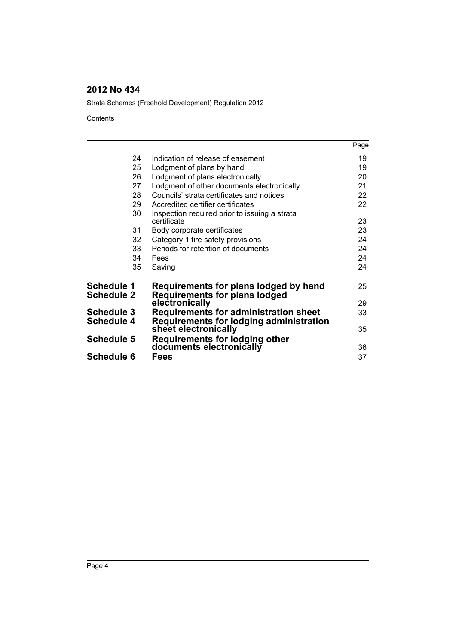Strata Schemes (Freehold Development) Regulation 2012

**Contents** 

|                                 |                                                                                         | Page |
|---------------------------------|-----------------------------------------------------------------------------------------|------|
| 24                              | Indication of release of easement                                                       | 19   |
| 25                              | Lodgment of plans by hand                                                               | 19   |
| 26                              | Lodgment of plans electronically                                                        | 20   |
| 27                              | Lodgment of other documents electronically                                              | 21   |
| 28                              | Councils' strata certificates and notices                                               | 22   |
| 29                              | Accredited certifier certificates                                                       | 22   |
| 30                              | Inspection required prior to issuing a strata<br>certificate                            | 23   |
| 31                              | Body corporate certificates                                                             | 23   |
| 32                              | Category 1 fire safety provisions                                                       | 24   |
| 33                              | Periods for retention of documents                                                      | 24   |
| 34                              | Fees                                                                                    | 24   |
| 35                              | Saving                                                                                  | 24   |
| Schedule 1<br><b>Schedule 2</b> | Requirements for plans lodged by hand<br><b>Requirements for plans lodged</b>           | 25   |
|                                 | electronically                                                                          | 29   |
| <b>Schedule 3</b><br>Schedule 4 | <b>Requirements for administration sheet</b><br>Requirements for lodging administration | 33   |
|                                 | sheet electronically                                                                    | 35   |
| <b>Schedule 5</b>               | Requirements for lodging other                                                          |      |
|                                 | documents electronically                                                                | 36   |
| Schedule 6                      | Fees                                                                                    | 37   |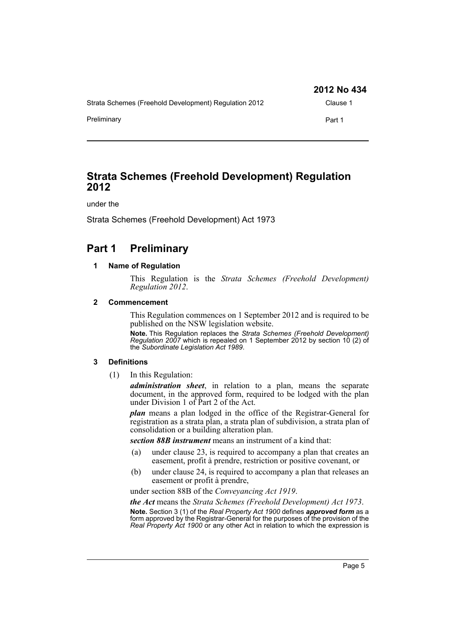|                                                       | 2012 No 434 |
|-------------------------------------------------------|-------------|
| Strata Schemes (Freehold Development) Regulation 2012 | Clause 1    |
| Preliminary                                           | Part 1      |

# **Strata Schemes (Freehold Development) Regulation 2012**

under the

Strata Schemes (Freehold Development) Act 1973

# <span id="page-4-1"></span><span id="page-4-0"></span>**Part 1 Preliminary**

#### **1 Name of Regulation**

This Regulation is the *Strata Schemes (Freehold Development) Regulation 2012*.

#### <span id="page-4-2"></span>**2 Commencement**

This Regulation commences on 1 September 2012 and is required to be published on the NSW legislation website.

**Note.** This Regulation replaces the *Strata Schemes (Freehold Development) Regulation 2007* which is repealed on 1 September 2012 by section 10 (2) of the *Subordinate Legislation Act 1989*.

#### <span id="page-4-3"></span>**3 Definitions**

(1) In this Regulation:

*administration sheet*, in relation to a plan, means the separate document, in the approved form, required to be lodged with the plan under Division 1 of Part 2 of the Act.

*plan* means a plan lodged in the office of the Registrar-General for registration as a strata plan, a strata plan of subdivision, a strata plan of consolidation or a building alteration plan.

*section 88B instrument* means an instrument of a kind that:

- (a) under clause 23, is required to accompany a plan that creates an easement, profit à prendre, restriction or positive covenant, or
- (b) under clause 24, is required to accompany a plan that releases an easement or profit à prendre,

under section 88B of the *Conveyancing Act 1919*.

*the Act* means the *Strata Schemes (Freehold Development) Act 1973*.

**Note.** Section 3 (1) of the *Real Property Act 1900* defines *approved form* as a form approved by the Registrar-General for the purposes of the provision of the *Real Property Act 1900* or any other Act in relation to which the expression is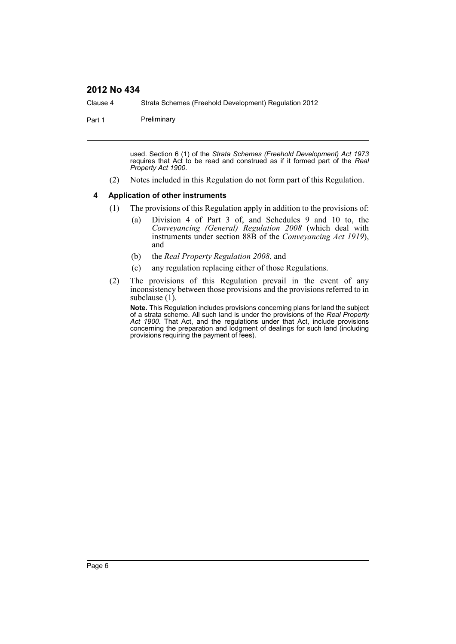Clause 4 Strata Schemes (Freehold Development) Regulation 2012

Part 1 Preliminary

used. Section 6 (1) of the *Strata Schemes (Freehold Development) Act 1973* requires that Act to be read and construed as if it formed part of the *Real Property Act 1900*.

(2) Notes included in this Regulation do not form part of this Regulation.

#### <span id="page-5-0"></span>**4 Application of other instruments**

- (1) The provisions of this Regulation apply in addition to the provisions of:
	- (a) Division 4 of Part 3 of, and Schedules 9 and 10 to, the *Conveyancing (General) Regulation 2008* (which deal with instruments under section 88B of the *Conveyancing Act 1919*), and
	- (b) the *Real Property Regulation 2008*, and
	- (c) any regulation replacing either of those Regulations.
- (2) The provisions of this Regulation prevail in the event of any inconsistency between those provisions and the provisions referred to in subclause (1).

**Note.** This Regulation includes provisions concerning plans for land the subject of a strata scheme. All such land is under the provisions of the *Real Property Act 1900*. That Act, and the regulations under that Act, include provisions concerning the preparation and lodgment of dealings for such land (including provisions requiring the payment of fees).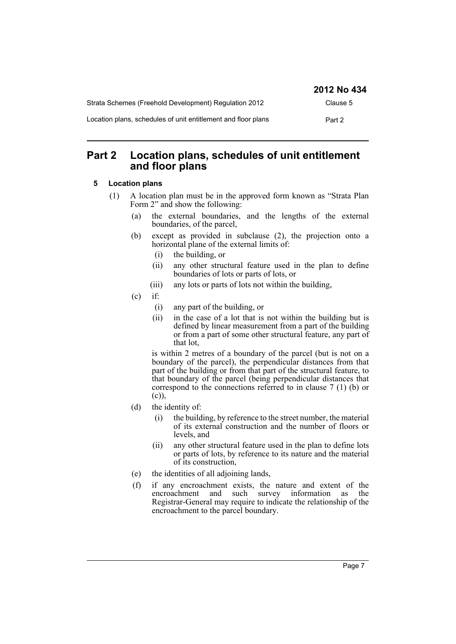|                                                               | 2012 No 434 |
|---------------------------------------------------------------|-------------|
| Strata Schemes (Freehold Development) Regulation 2012         | Clause 5    |
| Location plans, schedules of unit entitlement and floor plans | Part 2      |

# <span id="page-6-0"></span>**Part 2 Location plans, schedules of unit entitlement and floor plans**

#### <span id="page-6-1"></span>**5 Location plans**

- (1) A location plan must be in the approved form known as "Strata Plan Form 2" and show the following:
	- (a) the external boundaries, and the lengths of the external boundaries, of the parcel,
	- (b) except as provided in subclause (2), the projection onto a horizontal plane of the external limits of:
		- (i) the building, or
		- (ii) any other structural feature used in the plan to define boundaries of lots or parts of lots, or
		- (iii) any lots or parts of lots not within the building,
	- $(c)$  if:
		- (i) any part of the building, or
		- (ii) in the case of a lot that is not within the building but is defined by linear measurement from a part of the building or from a part of some other structural feature, any part of that lot,

is within 2 metres of a boundary of the parcel (but is not on a boundary of the parcel), the perpendicular distances from that part of the building or from that part of the structural feature, to that boundary of the parcel (being perpendicular distances that correspond to the connections referred to in clause 7 (1) (b) or (c)),

- (d) the identity of:
	- (i) the building, by reference to the street number, the material of its external construction and the number of floors or levels, and
	- (ii) any other structural feature used in the plan to define lots or parts of lots, by reference to its nature and the material of its construction,
- (e) the identities of all adjoining lands,
- (f) if any encroachment exists, the nature and extent of the encroachment and such survey information as the Registrar-General may require to indicate the relationship of the encroachment to the parcel boundary.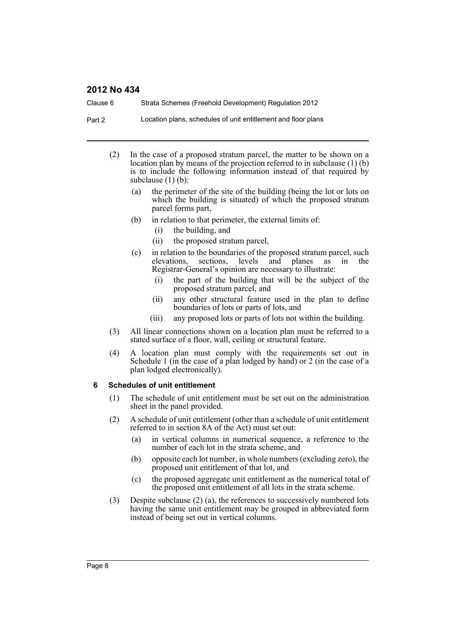Clause 6 Strata Schemes (Freehold Development) Regulation 2012

Part 2 Location plans, schedules of unit entitlement and floor plans

- (2) In the case of a proposed stratum parcel, the matter to be shown on a location plan by means of the projection referred to in subclause (1) (b) is to include the following information instead of that required by subclause (1) (b):
	- (a) the perimeter of the site of the building (being the lot or lots on which the building is situated) of which the proposed stratum parcel forms part,
	- (b) in relation to that perimeter, the external limits of:
		- (i) the building, and
		- (ii) the proposed stratum parcel,
	- (c) in relation to the boundaries of the proposed stratum parcel, such elevations, sections, levels and planes as in the Registrar-General's opinion are necessary to illustrate:
		- (i) the part of the building that will be the subject of the proposed stratum parcel, and
		- (ii) any other structural feature used in the plan to define boundaries of lots or parts of lots, and
		- (iii) any proposed lots or parts of lots not within the building.
- (3) All linear connections shown on a location plan must be referred to a stated surface of a floor, wall, ceiling or structural feature.
- (4) A location plan must comply with the requirements set out in Schedule 1 (in the case of a plan lodged by hand) or 2 (in the case of a plan lodged electronically).

#### <span id="page-7-0"></span>**6 Schedules of unit entitlement**

- (1) The schedule of unit entitlement must be set out on the administration sheet in the panel provided.
- (2) A schedule of unit entitlement (other than a schedule of unit entitlement referred to in section 8A of the Act) must set out:
	- (a) in vertical columns in numerical sequence, a reference to the number of each lot in the strata scheme, and
	- (b) opposite each lot number, in whole numbers (excluding zero), the proposed unit entitlement of that lot, and
	- (c) the proposed aggregate unit entitlement as the numerical total of the proposed unit entitlement of all lots in the strata scheme.
- (3) Despite subclause (2) (a), the references to successively numbered lots having the same unit entitlement may be grouped in abbreviated form instead of being set out in vertical columns.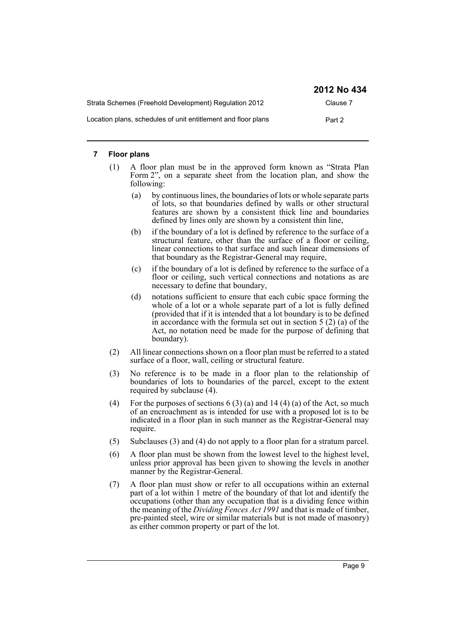|                                                               | 2012 No 434 |
|---------------------------------------------------------------|-------------|
| Strata Schemes (Freehold Development) Regulation 2012         | Clause 7    |
| Location plans, schedules of unit entitlement and floor plans | Part 2      |

#### <span id="page-8-0"></span>**7 Floor plans**

- (1) A floor plan must be in the approved form known as "Strata Plan Form  $2^{n}$ , on a separate sheet from the location plan, and show the following:
	- (a) by continuous lines, the boundaries of lots or whole separate parts of lots, so that boundaries defined by walls or other structural features are shown by a consistent thick line and boundaries defined by lines only are shown by a consistent thin line,
	- (b) if the boundary of a lot is defined by reference to the surface of a structural feature, other than the surface of a floor or ceiling, linear connections to that surface and such linear dimensions of that boundary as the Registrar-General may require,
	- (c) if the boundary of a lot is defined by reference to the surface of a floor or ceiling, such vertical connections and notations as are necessary to define that boundary,
	- (d) notations sufficient to ensure that each cubic space forming the whole of a lot or a whole separate part of a lot is fully defined (provided that if it is intended that a lot boundary is to be defined in accordance with the formula set out in section  $5(2)(a)$  of the Act, no notation need be made for the purpose of defining that boundary).
- (2) All linear connections shown on a floor plan must be referred to a stated surface of a floor, wall, ceiling or structural feature.
- (3) No reference is to be made in a floor plan to the relationship of boundaries of lots to boundaries of the parcel, except to the extent required by subclause (4).
- (4) For the purposes of sections  $6(3)(a)$  and  $14(4)(a)$  of the Act, so much of an encroachment as is intended for use with a proposed lot is to be indicated in a floor plan in such manner as the Registrar-General may require.
- (5) Subclauses (3) and (4) do not apply to a floor plan for a stratum parcel.
- (6) A floor plan must be shown from the lowest level to the highest level, unless prior approval has been given to showing the levels in another manner by the Registrar-General.
- (7) A floor plan must show or refer to all occupations within an external part of a lot within 1 metre of the boundary of that lot and identify the occupations (other than any occupation that is a dividing fence within the meaning of the *Dividing Fences Act 1991* and that is made of timber, pre-painted steel, wire or similar materials but is not made of masonry) as either common property or part of the lot.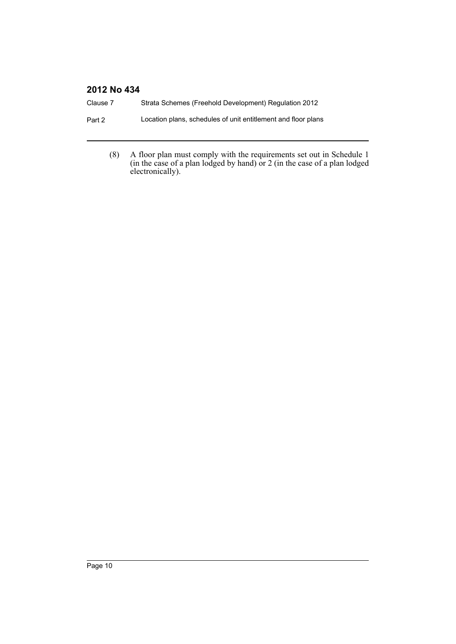| Clause 7 | Strata Schemes (Freehold Development) Regulation 2012         |
|----------|---------------------------------------------------------------|
| Part 2   | Location plans, schedules of unit entitlement and floor plans |
|          |                                                               |

(8) A floor plan must comply with the requirements set out in Schedule 1 (in the case of a plan lodged by hand) or 2 (in the case of a plan lodged electronically).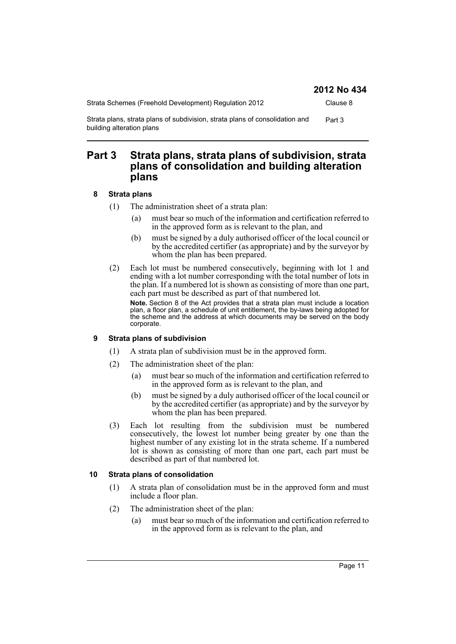|            | 2012 No 434 |
|------------|-------------|
| ation 2012 | Clause 8    |

Strata Schemes (Freehold Development) Regulation Strata plans, strata plans of subdivision, strata plans of consolidation and Part 3 building alteration plans

# <span id="page-10-0"></span>**Part 3 Strata plans, strata plans of subdivision, strata plans of consolidation and building alteration plans**

#### <span id="page-10-1"></span>**8 Strata plans**

- (1) The administration sheet of a strata plan:
	- (a) must bear so much of the information and certification referred to in the approved form as is relevant to the plan, and
	- (b) must be signed by a duly authorised officer of the local council or by the accredited certifier (as appropriate) and by the surveyor by whom the plan has been prepared.
- (2) Each lot must be numbered consecutively, beginning with lot 1 and ending with a lot number corresponding with the total number of lots in the plan. If a numbered lot is shown as consisting of more than one part, each part must be described as part of that numbered lot.

**Note.** Section 8 of the Act provides that a strata plan must include a location plan, a floor plan, a schedule of unit entitlement, the by-laws being adopted for the scheme and the address at which documents may be served on the body corporate.

### <span id="page-10-2"></span>**9 Strata plans of subdivision**

- (1) A strata plan of subdivision must be in the approved form.
- (2) The administration sheet of the plan:
	- (a) must bear so much of the information and certification referred to in the approved form as is relevant to the plan, and
	- (b) must be signed by a duly authorised officer of the local council or by the accredited certifier (as appropriate) and by the surveyor by whom the plan has been prepared.
- (3) Each lot resulting from the subdivision must be numbered consecutively, the lowest lot number being greater by one than the highest number of any existing lot in the strata scheme. If a numbered lot is shown as consisting of more than one part, each part must be described as part of that numbered lot.

### <span id="page-10-3"></span>**10 Strata plans of consolidation**

- (1) A strata plan of consolidation must be in the approved form and must include a floor plan.
- (2) The administration sheet of the plan:
	- (a) must bear so much of the information and certification referred to in the approved form as is relevant to the plan, and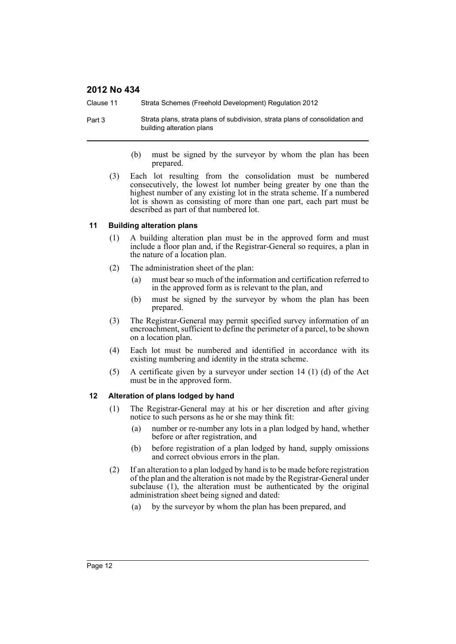Clause 11 Strata Schemes (Freehold Development) Regulation 2012

- Part 3 Strata plans, strata plans of subdivision, strata plans of consolidation and building alteration plans
	- (b) must be signed by the surveyor by whom the plan has been prepared.
	- (3) Each lot resulting from the consolidation must be numbered consecutively, the lowest lot number being greater by one than the highest number of any existing lot in the strata scheme. If a numbered lot is shown as consisting of more than one part, each part must be described as part of that numbered lot.

#### <span id="page-11-0"></span>**11 Building alteration plans**

- (1) A building alteration plan must be in the approved form and must include a floor plan and, if the Registrar-General so requires, a plan in the nature of a location plan.
- (2) The administration sheet of the plan:
	- (a) must bear so much of the information and certification referred to in the approved form as is relevant to the plan, and
	- (b) must be signed by the surveyor by whom the plan has been prepared.
- (3) The Registrar-General may permit specified survey information of an encroachment, sufficient to define the perimeter of a parcel, to be shown on a location plan.
- (4) Each lot must be numbered and identified in accordance with its existing numbering and identity in the strata scheme.
- (5) A certificate given by a surveyor under section 14 (1) (d) of the Act must be in the approved form.

#### <span id="page-11-1"></span>**12 Alteration of plans lodged by hand**

- (1) The Registrar-General may at his or her discretion and after giving notice to such persons as he or she may think fit:
	- (a) number or re-number any lots in a plan lodged by hand, whether before or after registration, and
	- (b) before registration of a plan lodged by hand, supply omissions and correct obvious errors in the plan.
- (2) If an alteration to a plan lodged by hand is to be made before registration of the plan and the alteration is not made by the Registrar-General under subclause (1), the alteration must be authenticated by the original administration sheet being signed and dated:
	- (a) by the surveyor by whom the plan has been prepared, and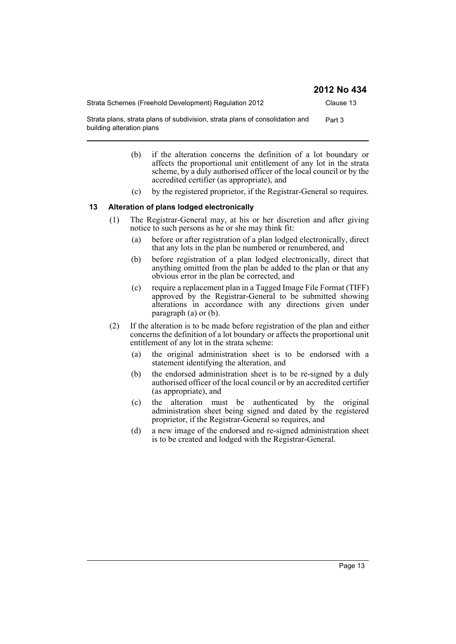| Strata Schemes (Freehold Development) Regulation 2012                                                     | Clause 13 |
|-----------------------------------------------------------------------------------------------------------|-----------|
| Strata plans, strata plans of subdivision, strata plans of consolidation and<br>building alteration plans | Part 3    |

- (b) if the alteration concerns the definition of a lot boundary or affects the proportional unit entitlement of any lot in the strata scheme, by a duly authorised officer of the local council or by the accredited certifier (as appropriate), and
- (c) by the registered proprietor, if the Registrar-General so requires.

#### <span id="page-12-0"></span>**13 Alteration of plans lodged electronically**

- (1) The Registrar-General may, at his or her discretion and after giving notice to such persons as he or she may think fit:
	- (a) before or after registration of a plan lodged electronically, direct that any lots in the plan be numbered or renumbered, and
	- (b) before registration of a plan lodged electronically, direct that anything omitted from the plan be added to the plan or that any obvious error in the plan be corrected, and
	- (c) require a replacement plan in a Tagged Image File Format (TIFF) approved by the Registrar-General to be submitted showing alterations in accordance with any directions given under paragraph (a) or (b).
- (2) If the alteration is to be made before registration of the plan and either concerns the definition of a lot boundary or affects the proportional unit entitlement of any lot in the strata scheme:
	- (a) the original administration sheet is to be endorsed with a statement identifying the alteration, and
	- (b) the endorsed administration sheet is to be re-signed by a duly authorised officer of the local council or by an accredited certifier (as appropriate), and
	- (c) the alteration must be authenticated by the original administration sheet being signed and dated by the registered proprietor, if the Registrar-General so requires, and
	- (d) a new image of the endorsed and re-signed administration sheet is to be created and lodged with the Registrar-General.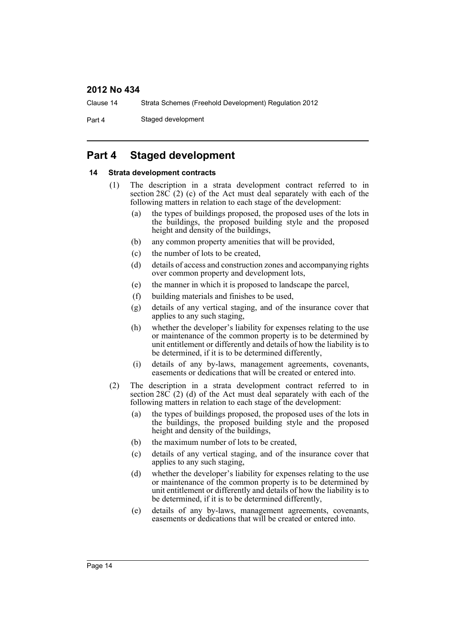Clause 14 Strata Schemes (Freehold Development) Regulation 2012

Part 4 Staged development

# <span id="page-13-0"></span>**Part 4 Staged development**

#### <span id="page-13-1"></span>**14 Strata development contracts**

- (1) The description in a strata development contract referred to in section  $28\overline{C}$  (2) (c) of the Act must deal separately with each of the following matters in relation to each stage of the development:
	- (a) the types of buildings proposed, the proposed uses of the lots in the buildings, the proposed building style and the proposed height and density of the buildings,
	- (b) any common property amenities that will be provided,
	- (c) the number of lots to be created,
	- (d) details of access and construction zones and accompanying rights over common property and development lots,
	- (e) the manner in which it is proposed to landscape the parcel,
	- (f) building materials and finishes to be used,
	- (g) details of any vertical staging, and of the insurance cover that applies to any such staging,
	- (h) whether the developer's liability for expenses relating to the use or maintenance of the common property is to be determined by unit entitlement or differently and details of how the liability is to be determined, if it is to be determined differently,
	- (i) details of any by-laws, management agreements, covenants, easements or dedications that will be created or entered into.
- (2) The description in a strata development contract referred to in section  $28\tilde{C}$  (2) (d) of the Act must deal separately with each of the following matters in relation to each stage of the development:
	- (a) the types of buildings proposed, the proposed uses of the lots in the buildings, the proposed building style and the proposed height and density of the buildings,
	- (b) the maximum number of lots to be created,
	- (c) details of any vertical staging, and of the insurance cover that applies to any such staging,
	- (d) whether the developer's liability for expenses relating to the use or maintenance of the common property is to be determined by unit entitlement or differently and details of how the liability is to be determined, if it is to be determined differently,
	- (e) details of any by-laws, management agreements, covenants, easements or dedications that will be created or entered into.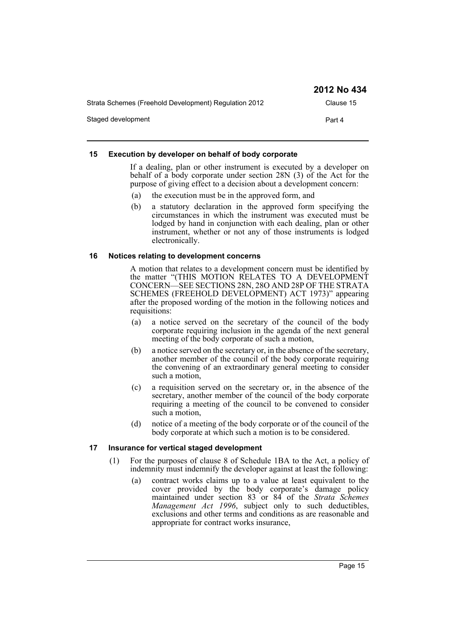|                                                       | 2012 No 434 |
|-------------------------------------------------------|-------------|
| Strata Schemes (Freehold Development) Regulation 2012 | Clause 15   |
| Staged development                                    | Part 4      |

#### <span id="page-14-0"></span>**15 Execution by developer on behalf of body corporate**

If a dealing, plan or other instrument is executed by a developer on behalf of a body corporate under section 28N (3) of the Act for the purpose of giving effect to a decision about a development concern:

- (a) the execution must be in the approved form, and
- (b) a statutory declaration in the approved form specifying the circumstances in which the instrument was executed must be lodged by hand in conjunction with each dealing, plan or other instrument, whether or not any of those instruments is lodged electronically.

#### <span id="page-14-1"></span>**16 Notices relating to development concerns**

A motion that relates to a development concern must be identified by the matter "(THIS MOTION RELATES TO A DEVELOPMENT CONCERN—SEE SECTIONS 28N, 28O AND 28P OF THE STRATA SCHEMES (FREEHOLD DEVELOPMENT) ACT 1973)" appearing after the proposed wording of the motion in the following notices and requisitions:

- (a) a notice served on the secretary of the council of the body corporate requiring inclusion in the agenda of the next general meeting of the body corporate of such a motion,
- (b) a notice served on the secretary or, in the absence of the secretary, another member of the council of the body corporate requiring the convening of an extraordinary general meeting to consider such a motion,
- (c) a requisition served on the secretary or, in the absence of the secretary, another member of the council of the body corporate requiring a meeting of the council to be convened to consider such a motion,
- (d) notice of a meeting of the body corporate or of the council of the body corporate at which such a motion is to be considered.

#### <span id="page-14-2"></span>**17 Insurance for vertical staged development**

- (1) For the purposes of clause 8 of Schedule 1BA to the Act, a policy of indemnity must indemnify the developer against at least the following:
	- (a) contract works claims up to a value at least equivalent to the cover provided by the body corporate's damage policy maintained under section 83 or 84 of the *Strata Schemes Management Act 1996*, subject only to such deductibles, exclusions and other terms and conditions as are reasonable and appropriate for contract works insurance,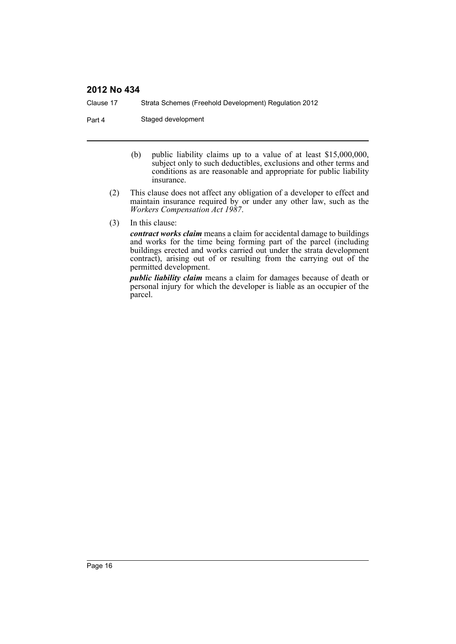Clause 17 Strata Schemes (Freehold Development) Regulation 2012

Part 4 Staged development

- (b) public liability claims up to a value of at least \$15,000,000, subject only to such deductibles, exclusions and other terms and conditions as are reasonable and appropriate for public liability insurance.
- (2) This clause does not affect any obligation of a developer to effect and maintain insurance required by or under any other law, such as the *Workers Compensation Act 1987*.
- (3) In this clause:

*contract works claim* means a claim for accidental damage to buildings and works for the time being forming part of the parcel (including buildings erected and works carried out under the strata development contract), arising out of or resulting from the carrying out of the permitted development.

*public liability claim* means a claim for damages because of death or personal injury for which the developer is liable as an occupier of the parcel.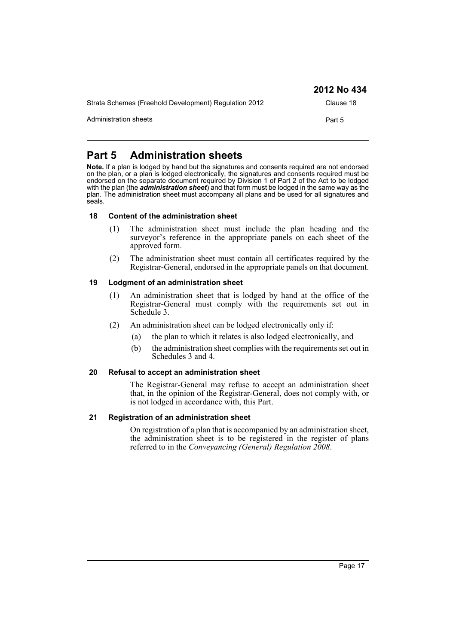|                                                       | 2012 No 434 |
|-------------------------------------------------------|-------------|
| Strata Schemes (Freehold Development) Regulation 2012 | Clause 18   |
| Administration sheets                                 | Part 5      |

# <span id="page-16-0"></span>**Part 5 Administration sheets**

**Note.** If a plan is lodged by hand but the signatures and consents required are not endorsed on the plan, or a plan is lodged electronically, the signatures and consents required must be endorsed on the separate document required by Division 1 of Part 2 of the Act to be lodged with the plan (the *administration sheet*) and that form must be lodged in the same way as the plan. The administration sheet must accompany all plans and be used for all signatures and seals.

#### <span id="page-16-1"></span>**18 Content of the administration sheet**

- (1) The administration sheet must include the plan heading and the surveyor's reference in the appropriate panels on each sheet of the approved form.
- (2) The administration sheet must contain all certificates required by the Registrar-General, endorsed in the appropriate panels on that document.

#### <span id="page-16-2"></span>**19 Lodgment of an administration sheet**

- (1) An administration sheet that is lodged by hand at the office of the Registrar-General must comply with the requirements set out in Schedule 3.
- (2) An administration sheet can be lodged electronically only if:
	- (a) the plan to which it relates is also lodged electronically, and
	- (b) the administration sheet complies with the requirements set out in Schedules 3 and 4.

#### <span id="page-16-3"></span>**20 Refusal to accept an administration sheet**

The Registrar-General may refuse to accept an administration sheet that, in the opinion of the Registrar-General, does not comply with, or is not lodged in accordance with, this Part.

#### <span id="page-16-4"></span>**21 Registration of an administration sheet**

On registration of a plan that is accompanied by an administration sheet, the administration sheet is to be registered in the register of plans referred to in the *Conveyancing (General) Regulation 2008*.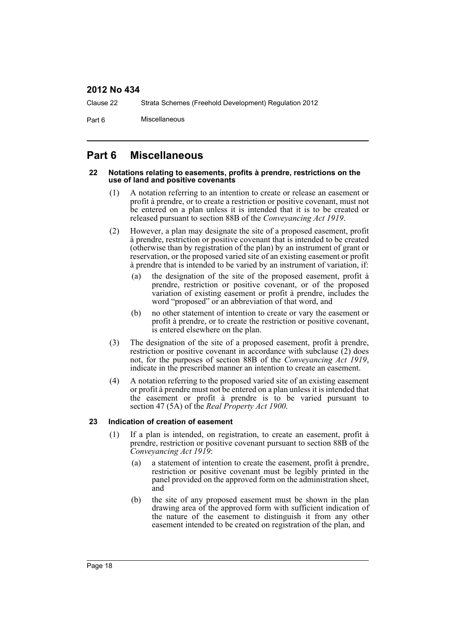Clause 22 Strata Schemes (Freehold Development) Regulation 2012

Part 6 Miscellaneous

# <span id="page-17-0"></span>**Part 6 Miscellaneous**

#### <span id="page-17-1"></span>**22 Notations relating to easements, profits à prendre, restrictions on the use of land and positive covenants**

- (1) A notation referring to an intention to create or release an easement or profit à prendre, or to create a restriction or positive covenant, must not be entered on a plan unless it is intended that it is to be created or released pursuant to section 88B of the *Conveyancing Act 1919*.
- (2) However, a plan may designate the site of a proposed easement, profit à prendre, restriction or positive covenant that is intended to be created (otherwise than by registration of the plan) by an instrument of grant or reservation, or the proposed varied site of an existing easement or profit à prendre that is intended to be varied by an instrument of variation, if:
	- (a) the designation of the site of the proposed easement, profit à prendre, restriction or positive covenant, or of the proposed variation of existing easement or profit à prendre, includes the word "proposed" or an abbreviation of that word, and
	- (b) no other statement of intention to create or vary the easement or profit à prendre, or to create the restriction or positive covenant, is entered elsewhere on the plan.
- (3) The designation of the site of a proposed easement, profit à prendre, restriction or positive covenant in accordance with subclause  $(2)$  does not, for the purposes of section 88B of the *Conveyancing Act 1919*, indicate in the prescribed manner an intention to create an easement.
- (4) A notation referring to the proposed varied site of an existing easement or profit à prendre must not be entered on a plan unless it is intended that the easement or profit à prendre is to be varied pursuant to section 47 (5A) of the *Real Property Act 1900*.

#### <span id="page-17-2"></span>**23 Indication of creation of easement**

- (1) If a plan is intended, on registration, to create an easement, profit à prendre, restriction or positive covenant pursuant to section 88B of the *Conveyancing Act 1919*:
	- (a) a statement of intention to create the easement, profit à prendre, restriction or positive covenant must be legibly printed in the panel provided on the approved form on the administration sheet, and
	- (b) the site of any proposed easement must be shown in the plan drawing area of the approved form with sufficient indication of the nature of the easement to distinguish it from any other easement intended to be created on registration of the plan, and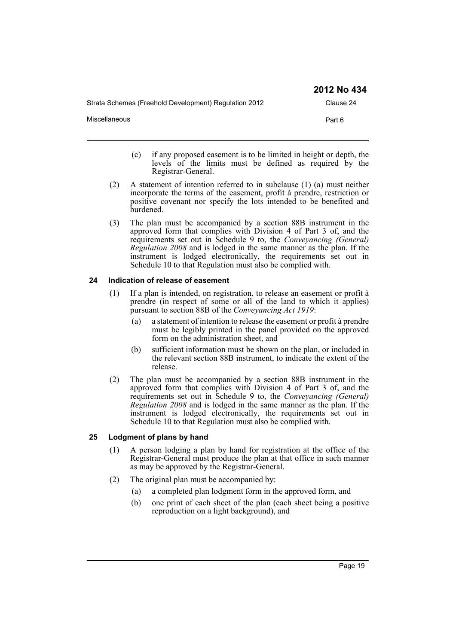| Strata Schemes (Freehold Development) Regulation 2012 | Clause 24 |
|-------------------------------------------------------|-----------|
| <b>Miscellaneous</b>                                  | Part 6    |
|                                                       |           |

- (c) if any proposed easement is to be limited in height or depth, the levels of the limits must be defined as required by the Registrar-General.
- (2) A statement of intention referred to in subclause (1) (a) must neither incorporate the terms of the easement, profit à prendre, restriction or positive covenant nor specify the lots intended to be benefited and burdened.
- (3) The plan must be accompanied by a section 88B instrument in the approved form that complies with Division 4 of Part 3 of, and the requirements set out in Schedule 9 to, the *Conveyancing (General) Regulation 2008* and is lodged in the same manner as the plan. If the instrument is lodged electronically, the requirements set out in Schedule 10 to that Regulation must also be complied with.

#### <span id="page-18-0"></span>**24 Indication of release of easement**

- (1) If a plan is intended, on registration, to release an easement or profit à prendre (in respect of some or all of the land to which it applies) pursuant to section 88B of the *Conveyancing Act 1919*:
	- (a) a statement of intention to release the easement or profit à prendre must be legibly printed in the panel provided on the approved form on the administration sheet, and
	- (b) sufficient information must be shown on the plan, or included in the relevant section 88B instrument, to indicate the extent of the release.
- (2) The plan must be accompanied by a section 88B instrument in the approved form that complies with Division 4 of Part 3 of, and the requirements set out in Schedule 9 to, the *Conveyancing (General) Regulation 2008* and is lodged in the same manner as the plan. If the instrument is lodged electronically, the requirements set out in Schedule 10 to that Regulation must also be complied with.

#### <span id="page-18-1"></span>**25 Lodgment of plans by hand**

- (1) A person lodging a plan by hand for registration at the office of the Registrar-General must produce the plan at that office in such manner as may be approved by the Registrar-General.
- (2) The original plan must be accompanied by:
	- (a) a completed plan lodgment form in the approved form, and
	- (b) one print of each sheet of the plan (each sheet being a positive reproduction on a light background), and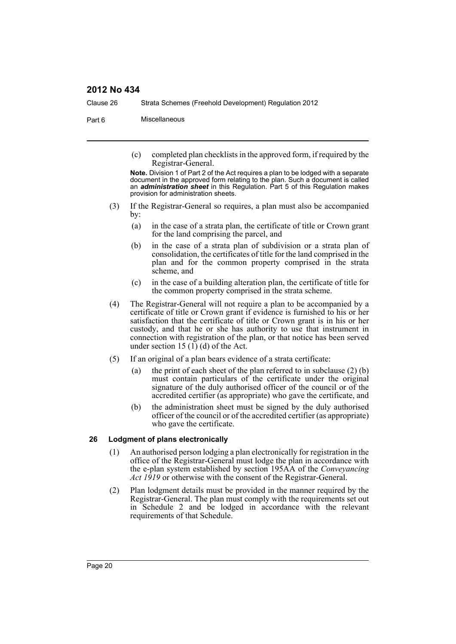Clause 26 Strata Schemes (Freehold Development) Regulation 2012

Part 6 Miscellaneous

(c) completed plan checklists in the approved form, if required by the Registrar-General.

**Note.** Division 1 of Part 2 of the Act requires a plan to be lodged with a separate document in the approved form relating to the plan. Such a document is called an *administration sheet* in this Regulation. Part 5 of this Regulation makes provision for administration sheets.

- (3) If the Registrar-General so requires, a plan must also be accompanied by:
	- (a) in the case of a strata plan, the certificate of title or Crown grant for the land comprising the parcel, and
	- (b) in the case of a strata plan of subdivision or a strata plan of consolidation, the certificates of title for the land comprised in the plan and for the common property comprised in the strata scheme, and
	- (c) in the case of a building alteration plan, the certificate of title for the common property comprised in the strata scheme.
- (4) The Registrar-General will not require a plan to be accompanied by a certificate of title or Crown grant if evidence is furnished to his or her satisfaction that the certificate of title or Crown grant is in his or her custody, and that he or she has authority to use that instrument in connection with registration of the plan, or that notice has been served under section 15  $(1)$  (d) of the Act.
- (5) If an original of a plan bears evidence of a strata certificate:
	- (a) the print of each sheet of the plan referred to in subclause  $(2)$  (b) must contain particulars of the certificate under the original signature of the duly authorised officer of the council or of the accredited certifier (as appropriate) who gave the certificate, and
	- (b) the administration sheet must be signed by the duly authorised officer of the council or of the accredited certifier (as appropriate) who gave the certificate.

#### <span id="page-19-0"></span>**26 Lodgment of plans electronically**

- (1) An authorised person lodging a plan electronically for registration in the office of the Registrar-General must lodge the plan in accordance with the e-plan system established by section 195AA of the *Conveyancing Act 1919* or otherwise with the consent of the Registrar-General.
- (2) Plan lodgment details must be provided in the manner required by the Registrar-General. The plan must comply with the requirements set out in Schedule 2 and be lodged in accordance with the relevant requirements of that Schedule.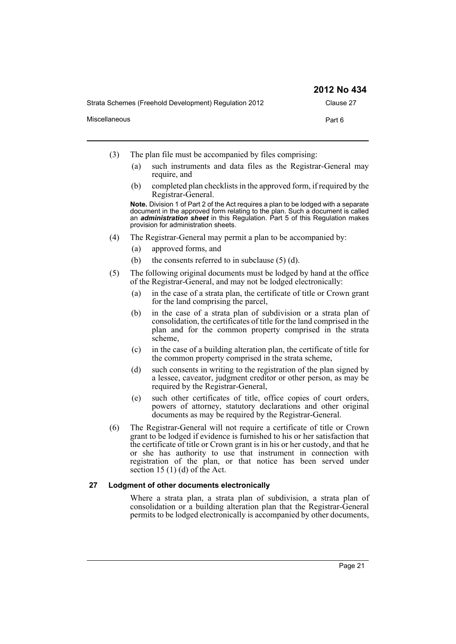|                                                       | 2012 No 434 |
|-------------------------------------------------------|-------------|
| Strata Schemes (Freehold Development) Regulation 2012 | Clause 27   |
| Miscellaneous                                         | Part 6      |

- (3) The plan file must be accompanied by files comprising:
	- (a) such instruments and data files as the Registrar-General may require, and
	- (b) completed plan checklists in the approved form, if required by the Registrar-General.

**Note.** Division 1 of Part 2 of the Act requires a plan to be lodged with a separate document in the approved form relating to the plan. Such a document is called an *administration sheet* in this Regulation. Part 5 of this Regulation makes provision for administration sheets.

- (4) The Registrar-General may permit a plan to be accompanied by:
	- (a) approved forms, and
	- (b) the consents referred to in subclause  $(5)$  (d).
- (5) The following original documents must be lodged by hand at the office of the Registrar-General, and may not be lodged electronically:
	- (a) in the case of a strata plan, the certificate of title or Crown grant for the land comprising the parcel,
	- (b) in the case of a strata plan of subdivision or a strata plan of consolidation, the certificates of title for the land comprised in the plan and for the common property comprised in the strata scheme,
	- (c) in the case of a building alteration plan, the certificate of title for the common property comprised in the strata scheme,
	- (d) such consents in writing to the registration of the plan signed by a lessee, caveator, judgment creditor or other person, as may be required by the Registrar-General,
	- (e) such other certificates of title, office copies of court orders, powers of attorney, statutory declarations and other original documents as may be required by the Registrar-General.
- (6) The Registrar-General will not require a certificate of title or Crown grant to be lodged if evidence is furnished to his or her satisfaction that the certificate of title or Crown grant is in his or her custody, and that he or she has authority to use that instrument in connection with registration of the plan, or that notice has been served under section 15  $(1)$  (d) of the Act.

#### <span id="page-20-0"></span>**27 Lodgment of other documents electronically**

Where a strata plan, a strata plan of subdivision, a strata plan of consolidation or a building alteration plan that the Registrar-General permits to be lodged electronically is accompanied by other documents,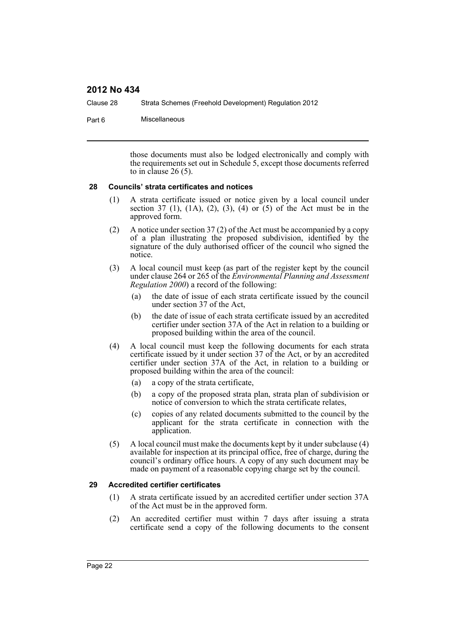Clause 28 Strata Schemes (Freehold Development) Regulation 2012

Part 6 Miscellaneous

those documents must also be lodged electronically and comply with the requirements set out in Schedule 5, except those documents referred to in clause  $26(5)$ .

#### <span id="page-21-0"></span>**28 Councils' strata certificates and notices**

- (1) A strata certificate issued or notice given by a local council under section 37 (1), (1A), (2), (3), (4) or (5) of the Act must be in the approved form.
- (2) A notice under section 37 (2) of the Act must be accompanied by a copy of a plan illustrating the proposed subdivision, identified by the signature of the duly authorised officer of the council who signed the notice.
- (3) A local council must keep (as part of the register kept by the council under clause 264 or 265 of the *Environmental Planning and Assessment Regulation 2000*) a record of the following:
	- (a) the date of issue of each strata certificate issued by the council under section 37 of the Act,
	- (b) the date of issue of each strata certificate issued by an accredited certifier under section 37A of the Act in relation to a building or proposed building within the area of the council.
- (4) A local council must keep the following documents for each strata certificate issued by it under section 37 of the Act, or by an accredited certifier under section 37A of the Act, in relation to a building or proposed building within the area of the council:
	- (a) a copy of the strata certificate,
	- (b) a copy of the proposed strata plan, strata plan of subdivision or notice of conversion to which the strata certificate relates,
	- (c) copies of any related documents submitted to the council by the applicant for the strata certificate in connection with the application.
- (5) A local council must make the documents kept by it under subclause (4) available for inspection at its principal office, free of charge, during the council's ordinary office hours. A copy of any such document may be made on payment of a reasonable copying charge set by the council.

#### <span id="page-21-1"></span>**29 Accredited certifier certificates**

- (1) A strata certificate issued by an accredited certifier under section 37A of the Act must be in the approved form.
- (2) An accredited certifier must within 7 days after issuing a strata certificate send a copy of the following documents to the consent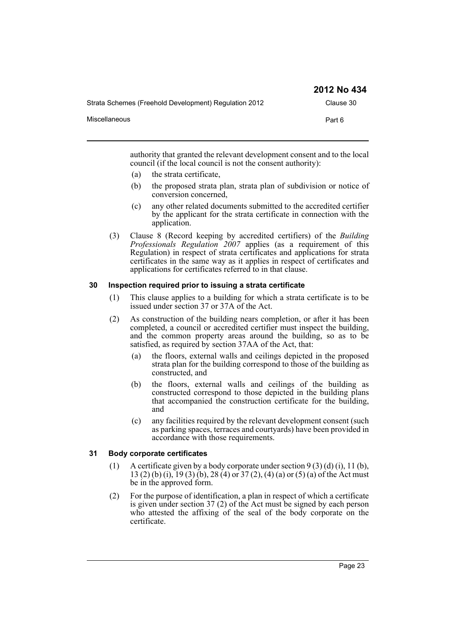|                                                       | 2012 No 434 |
|-------------------------------------------------------|-------------|
| Strata Schemes (Freehold Development) Regulation 2012 | Clause 30   |
| Miscellaneous                                         | Part 6      |

authority that granted the relevant development consent and to the local council (if the local council is not the consent authority):

- (a) the strata certificate,
- (b) the proposed strata plan, strata plan of subdivision or notice of conversion concerned,
- (c) any other related documents submitted to the accredited certifier by the applicant for the strata certificate in connection with the application.
- (3) Clause 8 (Record keeping by accredited certifiers) of the *Building Professionals Regulation 2007* applies (as a requirement of this Regulation) in respect of strata certificates and applications for strata certificates in the same way as it applies in respect of certificates and applications for certificates referred to in that clause.

#### <span id="page-22-0"></span>**30 Inspection required prior to issuing a strata certificate**

- (1) This clause applies to a building for which a strata certificate is to be issued under section 37 or 37A of the Act.
- (2) As construction of the building nears completion, or after it has been completed, a council or accredited certifier must inspect the building, and the common property areas around the building, so as to be satisfied, as required by section 37AA of the Act, that:
	- (a) the floors, external walls and ceilings depicted in the proposed strata plan for the building correspond to those of the building as constructed, and
	- (b) the floors, external walls and ceilings of the building as constructed correspond to those depicted in the building plans that accompanied the construction certificate for the building, and
	- (c) any facilities required by the relevant development consent (such as parking spaces, terraces and courtyards) have been provided in accordance with those requirements.

### <span id="page-22-1"></span>**31 Body corporate certificates**

- (1) A certificate given by a body corporate under section  $9(3)(d)(i)$ , 11 (b), 13 (2) (b) (i), 19 (3) (b), 28 (4) or 37 (2), (4) (a) or (5) (a) of the Act must be in the approved form.
- (2) For the purpose of identification, a plan in respect of which a certificate is given under section 37 (2) of the Act must be signed by each person who attested the affixing of the seal of the body corporate on the certificate.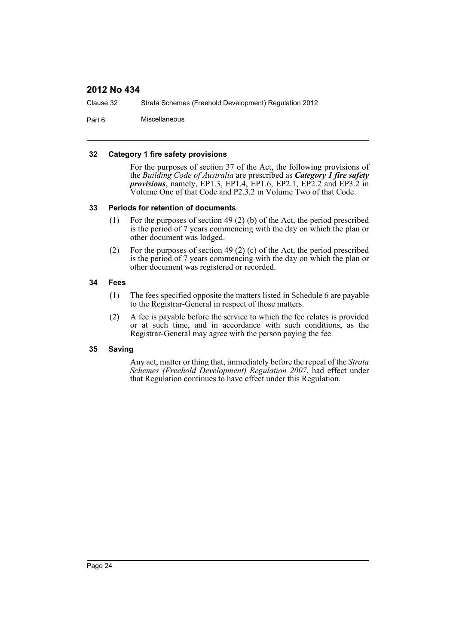Clause 32 Strata Schemes (Freehold Development) Regulation 2012

Part 6 Miscellaneous

#### <span id="page-23-0"></span>**32 Category 1 fire safety provisions**

For the purposes of section 37 of the Act, the following provisions of the *Building Code of Australia* are prescribed as *Category 1 fire safety provisions*, namely, EP1.3, EP1.4, EP1.6, EP2.1, EP2.2 and EP3.2 in Volume One of that Code and P2.3.2 in Volume Two of that Code.

#### <span id="page-23-1"></span>**33 Periods for retention of documents**

- (1) For the purposes of section 49 (2) (b) of the Act, the period prescribed is the period of 7 years commencing with the day on which the plan or other document was lodged.
- (2) For the purposes of section 49 (2) (c) of the Act, the period prescribed is the period of 7 years commencing with the day on which the plan or other document was registered or recorded.

#### <span id="page-23-2"></span>**34 Fees**

- (1) The fees specified opposite the matters listed in Schedule 6 are payable to the Registrar-General in respect of those matters.
- (2) A fee is payable before the service to which the fee relates is provided or at such time, and in accordance with such conditions, as the Registrar-General may agree with the person paying the fee.

#### <span id="page-23-3"></span>**35 Saving**

Any act, matter or thing that, immediately before the repeal of the *Strata Schemes (Freehold Development) Regulation 2007*, had effect under that Regulation continues to have effect under this Regulation.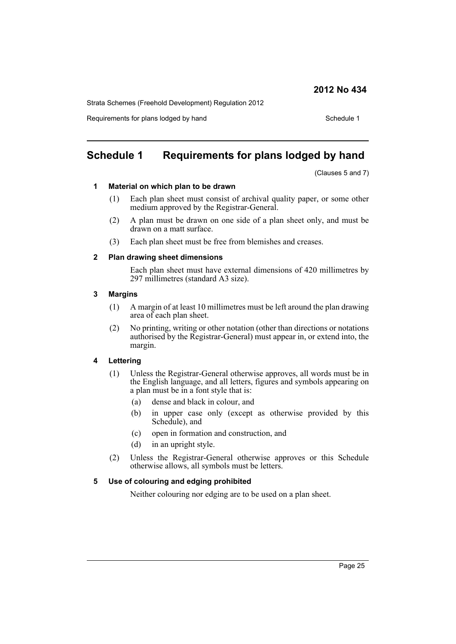Strata Schemes (Freehold Development) Regulation 2012

Requirements for plans lodged by hand Schedule 1

# <span id="page-24-0"></span>**Schedule 1 Requirements for plans lodged by hand**

(Clauses 5 and 7)

#### **1 Material on which plan to be drawn**

- (1) Each plan sheet must consist of archival quality paper, or some other medium approved by the Registrar-General.
- (2) A plan must be drawn on one side of a plan sheet only, and must be drawn on a matt surface.
- (3) Each plan sheet must be free from blemishes and creases.

#### **2 Plan drawing sheet dimensions**

Each plan sheet must have external dimensions of 420 millimetres by 297 millimetres (standard A3 size).

#### **3 Margins**

- (1) A margin of at least 10 millimetres must be left around the plan drawing area of each plan sheet.
- (2) No printing, writing or other notation (other than directions or notations authorised by the Registrar-General) must appear in, or extend into, the margin.

#### **4 Lettering**

- (1) Unless the Registrar-General otherwise approves, all words must be in the English language, and all letters, figures and symbols appearing on a plan must be in a font style that is:
	- (a) dense and black in colour, and
	- (b) in upper case only (except as otherwise provided by this Schedule), and
	- (c) open in formation and construction, and
	- (d) in an upright style.
- (2) Unless the Registrar-General otherwise approves or this Schedule otherwise allows, all symbols must be letters.

#### **5 Use of colouring and edging prohibited**

Neither colouring nor edging are to be used on a plan sheet.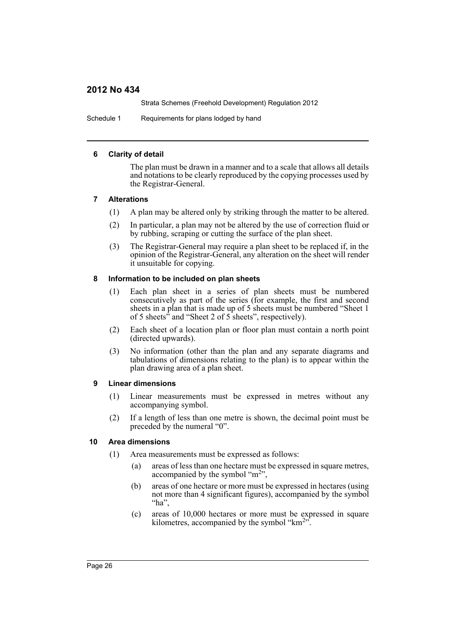Strata Schemes (Freehold Development) Regulation 2012

Schedule 1 Requirements for plans lodged by hand

#### **6 Clarity of detail**

The plan must be drawn in a manner and to a scale that allows all details and notations to be clearly reproduced by the copying processes used by the Registrar-General.

#### **7 Alterations**

- (1) A plan may be altered only by striking through the matter to be altered.
- (2) In particular, a plan may not be altered by the use of correction fluid or by rubbing, scraping or cutting the surface of the plan sheet.
- (3) The Registrar-General may require a plan sheet to be replaced if, in the opinion of the Registrar-General, any alteration on the sheet will render it unsuitable for copying.

#### **8 Information to be included on plan sheets**

- (1) Each plan sheet in a series of plan sheets must be numbered consecutively as part of the series (for example, the first and second sheets in a plan that is made up of 5 sheets must be numbered "Sheet 1 of 5 sheets" and "Sheet 2 of 5 sheets", respectively).
- (2) Each sheet of a location plan or floor plan must contain a north point (directed upwards).
- (3) No information (other than the plan and any separate diagrams and tabulations of dimensions relating to the plan) is to appear within the plan drawing area of a plan sheet.

#### **9 Linear dimensions**

- (1) Linear measurements must be expressed in metres without any accompanying symbol.
- (2) If a length of less than one metre is shown, the decimal point must be preceded by the numeral "0".

#### **10 Area dimensions**

- (1) Area measurements must be expressed as follows:
	- (a) areas of less than one hectare must be expressed in square metres, accompanied by the symbol " $m<sup>2</sup>$ ",
	- (b) areas of one hectare or more must be expressed in hectares (using not more than 4 significant figures), accompanied by the symbol "ha",
	- (c) areas of 10,000 hectares or more must be expressed in square kilometres, accompanied by the symbol " $km<sup>2</sup>$ ".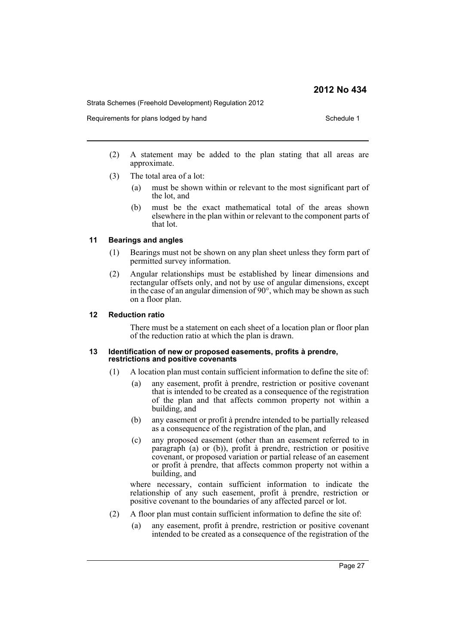Strata Schemes (Freehold Development) Regulation 2012

Requirements for plans lodged by hand Schedule 1 Schedule 1

- (2) A statement may be added to the plan stating that all areas are approximate.
- (3) The total area of a lot:
	- (a) must be shown within or relevant to the most significant part of the lot, and
	- (b) must be the exact mathematical total of the areas shown elsewhere in the plan within or relevant to the component parts of that lot.

#### **11 Bearings and angles**

- (1) Bearings must not be shown on any plan sheet unless they form part of permitted survey information.
- (2) Angular relationships must be established by linear dimensions and rectangular offsets only, and not by use of angular dimensions, except in the case of an angular dimension of 90°, which may be shown as such on a floor plan.

#### **12 Reduction ratio**

There must be a statement on each sheet of a location plan or floor plan of the reduction ratio at which the plan is drawn.

#### **13 Identification of new or proposed easements, profits à prendre, restrictions and positive covenants**

- (1) A location plan must contain sufficient information to define the site of:
	- (a) any easement, profit à prendre, restriction or positive covenant that is intended to be created as a consequence of the registration of the plan and that affects common property not within a building, and
	- (b) any easement or profit à prendre intended to be partially released as a consequence of the registration of the plan, and
	- (c) any proposed easement (other than an easement referred to in paragraph (a) or (b)), profit à prendre, restriction or positive covenant, or proposed variation or partial release of an easement or profit à prendre, that affects common property not within a building, and

where necessary, contain sufficient information to indicate the relationship of any such easement, profit à prendre, restriction or positive covenant to the boundaries of any affected parcel or lot.

- (2) A floor plan must contain sufficient information to define the site of:
	- (a) any easement, profit à prendre, restriction or positive covenant intended to be created as a consequence of the registration of the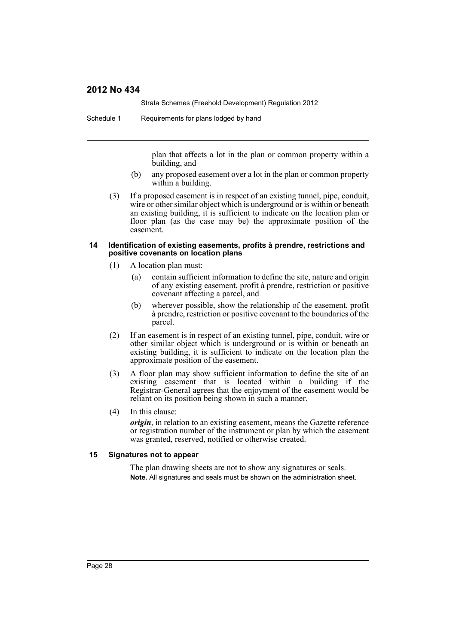Strata Schemes (Freehold Development) Regulation 2012

Schedule 1 Requirements for plans lodged by hand

plan that affects a lot in the plan or common property within a building, and

- (b) any proposed easement over a lot in the plan or common property within a building.
- (3) If a proposed easement is in respect of an existing tunnel, pipe, conduit, wire or other similar object which is underground or is within or beneath an existing building, it is sufficient to indicate on the location plan or floor plan (as the case may be) the approximate position of the easement.

#### **14 Identification of existing easements, profits à prendre, restrictions and positive covenants on location plans**

- (1) A location plan must:
	- (a) contain sufficient information to define the site, nature and origin of any existing easement, profit à prendre, restriction or positive covenant affecting a parcel, and
	- (b) wherever possible, show the relationship of the easement, profit à prendre, restriction or positive covenant to the boundaries of the parcel.
- (2) If an easement is in respect of an existing tunnel, pipe, conduit, wire or other similar object which is underground or is within or beneath an existing building, it is sufficient to indicate on the location plan the approximate position of the easement.
- (3) A floor plan may show sufficient information to define the site of an existing easement that is located within a building if the Registrar-General agrees that the enjoyment of the easement would be reliant on its position being shown in such a manner.
- (4) In this clause:

*origin*, in relation to an existing easement, means the Gazette reference or registration number of the instrument or plan by which the easement was granted, reserved, notified or otherwise created.

#### **15 Signatures not to appear**

The plan drawing sheets are not to show any signatures or seals. **Note.** All signatures and seals must be shown on the administration sheet.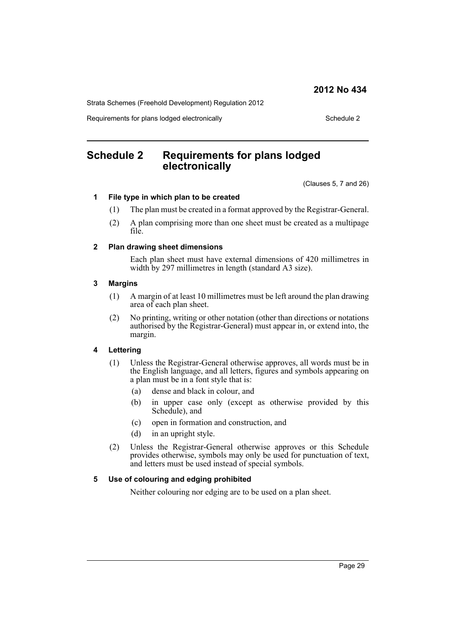Strata Schemes (Freehold Development) Regulation 2012

Requirements for plans lodged electronically example 2 Schedule 2

# <span id="page-28-0"></span>**Schedule 2 Requirements for plans lodged electronically**

(Clauses 5, 7 and 26)

#### **1 File type in which plan to be created**

- (1) The plan must be created in a format approved by the Registrar-General.
- (2) A plan comprising more than one sheet must be created as a multipage file.

#### **2 Plan drawing sheet dimensions**

Each plan sheet must have external dimensions of 420 millimetres in width by 297 millimetres in length (standard A3 size).

#### **3 Margins**

- (1) A margin of at least 10 millimetres must be left around the plan drawing area of each plan sheet.
- (2) No printing, writing or other notation (other than directions or notations authorised by the Registrar-General) must appear in, or extend into, the margin.

#### **4 Lettering**

- (1) Unless the Registrar-General otherwise approves, all words must be in the English language, and all letters, figures and symbols appearing on a plan must be in a font style that is:
	- (a) dense and black in colour, and
	- (b) in upper case only (except as otherwise provided by this Schedule), and
	- (c) open in formation and construction, and
	- (d) in an upright style.
- (2) Unless the Registrar-General otherwise approves or this Schedule provides otherwise, symbols may only be used for punctuation of text, and letters must be used instead of special symbols.

#### **5 Use of colouring and edging prohibited**

Neither colouring nor edging are to be used on a plan sheet.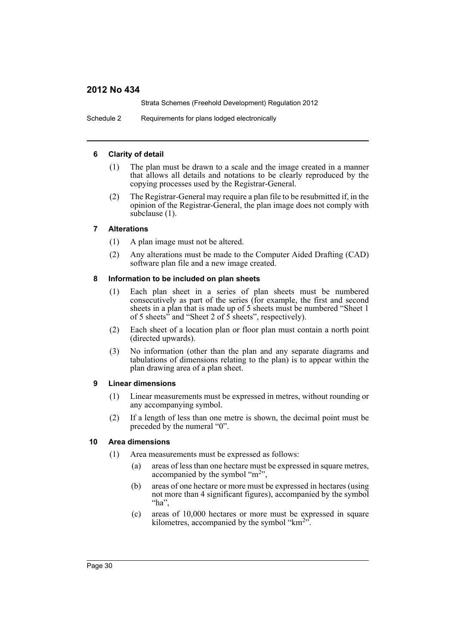Strata Schemes (Freehold Development) Regulation 2012

Schedule 2 Requirements for plans lodged electronically

#### **6 Clarity of detail**

- (1) The plan must be drawn to a scale and the image created in a manner that allows all details and notations to be clearly reproduced by the copying processes used by the Registrar-General.
- (2) The Registrar-General may require a plan file to be resubmitted if, in the opinion of the Registrar-General, the plan image does not comply with subclause (1).

#### **7 Alterations**

- (1) A plan image must not be altered.
- (2) Any alterations must be made to the Computer Aided Drafting (CAD) software plan file and a new image created.

#### **8 Information to be included on plan sheets**

- (1) Each plan sheet in a series of plan sheets must be numbered consecutively as part of the series (for example, the first and second sheets in a plan that is made up of 5 sheets must be numbered "Sheet 1 of 5 sheets" and "Sheet 2 of 5 sheets", respectively).
- (2) Each sheet of a location plan or floor plan must contain a north point (directed upwards).
- (3) No information (other than the plan and any separate diagrams and tabulations of dimensions relating to the plan) is to appear within the plan drawing area of a plan sheet.

#### **9 Linear dimensions**

- (1) Linear measurements must be expressed in metres, without rounding or any accompanying symbol.
- (2) If a length of less than one metre is shown, the decimal point must be preceded by the numeral "0".

#### **10 Area dimensions**

- (1) Area measurements must be expressed as follows:
	- (a) areas of less than one hectare must be expressed in square metres, accompanied by the symbol " $m<sup>2</sup>$ ",
	- (b) areas of one hectare or more must be expressed in hectares (using not more than 4 significant figures), accompanied by the symbol "ha",
	- (c) areas of 10,000 hectares or more must be expressed in square kilometres, accompanied by the symbol " $km<sup>2</sup>$ ".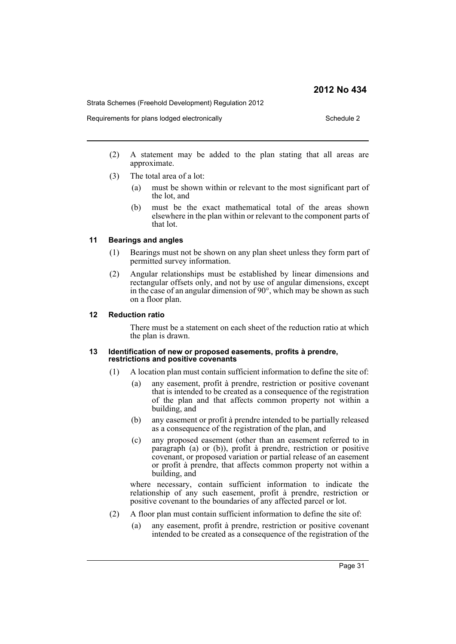Strata Schemes (Freehold Development) Regulation 2012

Requirements for plans lodged electronically example 2 Schedule 2

- (2) A statement may be added to the plan stating that all areas are approximate.
- (3) The total area of a lot:
	- (a) must be shown within or relevant to the most significant part of the lot, and
	- (b) must be the exact mathematical total of the areas shown elsewhere in the plan within or relevant to the component parts of that lot.

#### **11 Bearings and angles**

- (1) Bearings must not be shown on any plan sheet unless they form part of permitted survey information.
- (2) Angular relationships must be established by linear dimensions and rectangular offsets only, and not by use of angular dimensions, except in the case of an angular dimension of 90°, which may be shown as such on a floor plan.

#### **12 Reduction ratio**

There must be a statement on each sheet of the reduction ratio at which the plan is drawn.

#### **13 Identification of new or proposed easements, profits à prendre, restrictions and positive covenants**

- (1) A location plan must contain sufficient information to define the site of:
	- (a) any easement, profit à prendre, restriction or positive covenant that is intended to be created as a consequence of the registration of the plan and that affects common property not within a building, and
	- (b) any easement or profit à prendre intended to be partially released as a consequence of the registration of the plan, and
	- (c) any proposed easement (other than an easement referred to in paragraph (a) or (b)), profit à prendre, restriction or positive covenant, or proposed variation or partial release of an easement or profit à prendre, that affects common property not within a building, and

where necessary, contain sufficient information to indicate the relationship of any such easement, profit à prendre, restriction or positive covenant to the boundaries of any affected parcel or lot.

- (2) A floor plan must contain sufficient information to define the site of:
	- (a) any easement, profit à prendre, restriction or positive covenant intended to be created as a consequence of the registration of the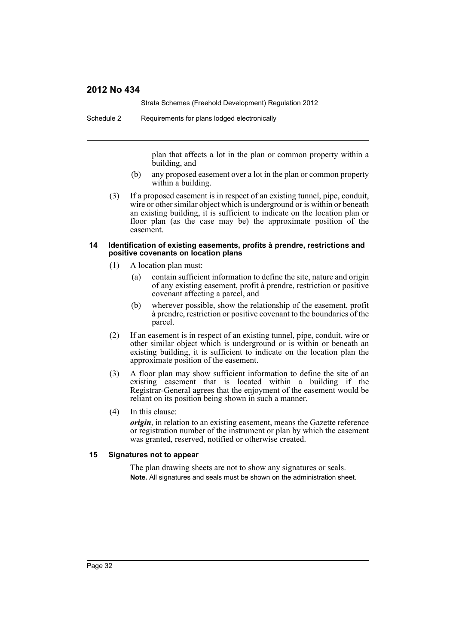Strata Schemes (Freehold Development) Regulation 2012

Schedule 2 Requirements for plans lodged electronically

plan that affects a lot in the plan or common property within a building, and

- (b) any proposed easement over a lot in the plan or common property within a building.
- (3) If a proposed easement is in respect of an existing tunnel, pipe, conduit, wire or other similar object which is underground or is within or beneath an existing building, it is sufficient to indicate on the location plan or floor plan (as the case may be) the approximate position of the easement.

#### **14 Identification of existing easements, profits à prendre, restrictions and positive covenants on location plans**

- (1) A location plan must:
	- (a) contain sufficient information to define the site, nature and origin of any existing easement, profit à prendre, restriction or positive covenant affecting a parcel, and
	- (b) wherever possible, show the relationship of the easement, profit à prendre, restriction or positive covenant to the boundaries of the parcel.
- (2) If an easement is in respect of an existing tunnel, pipe, conduit, wire or other similar object which is underground or is within or beneath an existing building, it is sufficient to indicate on the location plan the approximate position of the easement.
- (3) A floor plan may show sufficient information to define the site of an existing easement that is located within a building if the Registrar-General agrees that the enjoyment of the easement would be reliant on its position being shown in such a manner.
- (4) In this clause:

*origin*, in relation to an existing easement, means the Gazette reference or registration number of the instrument or plan by which the easement was granted, reserved, notified or otherwise created.

#### **15 Signatures not to appear**

The plan drawing sheets are not to show any signatures or seals. **Note.** All signatures and seals must be shown on the administration sheet.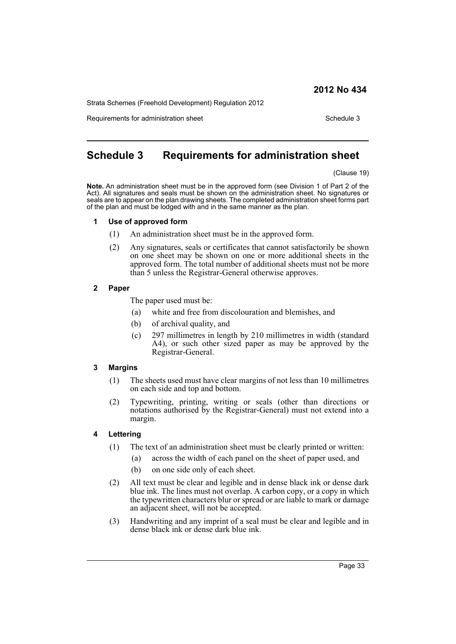Strata Schemes (Freehold Development) Regulation 2012

Requirements for administration sheet Schedule 3

# <span id="page-32-0"></span>**Schedule 3 Requirements for administration sheet**

(Clause 19)

**Note.** An administration sheet must be in the approved form (see Division 1 of Part 2 of the Act). All signatures and seals must be shown on the administration sheet. No signatures or seals are to appear on the plan drawing sheets. The completed administration sheet forms part of the plan and must be lodged with and in the same manner as the plan.

#### **1 Use of approved form**

- (1) An administration sheet must be in the approved form.
- (2) Any signatures, seals or certificates that cannot satisfactorily be shown on one sheet may be shown on one or more additional sheets in the approved form. The total number of additional sheets must not be more than 5 unless the Registrar-General otherwise approves.

#### **2 Paper**

The paper used must be:

- (a) white and free from discolouration and blemishes, and
- (b) of archival quality, and
- (c) 297 millimetres in length by 210 millimetres in width (standard A4), or such other sized paper as may be approved by the Registrar-General.

#### **3 Margins**

- (1) The sheets used must have clear margins of not less than 10 millimetres on each side and top and bottom.
- (2) Typewriting, printing, writing or seals (other than directions or notations authorised by the Registrar-General) must not extend into a margin.

#### **4 Lettering**

- (1) The text of an administration sheet must be clearly printed or written:
	- (a) across the width of each panel on the sheet of paper used, and
	- (b) on one side only of each sheet.
- (2) All text must be clear and legible and in dense black ink or dense dark blue ink. The lines must not overlap. A carbon copy, or a copy in which the typewritten characters blur or spread or are liable to mark or damage an adjacent sheet, will not be accepted.
- (3) Handwriting and any imprint of a seal must be clear and legible and in dense black ink or dense dark blue ink.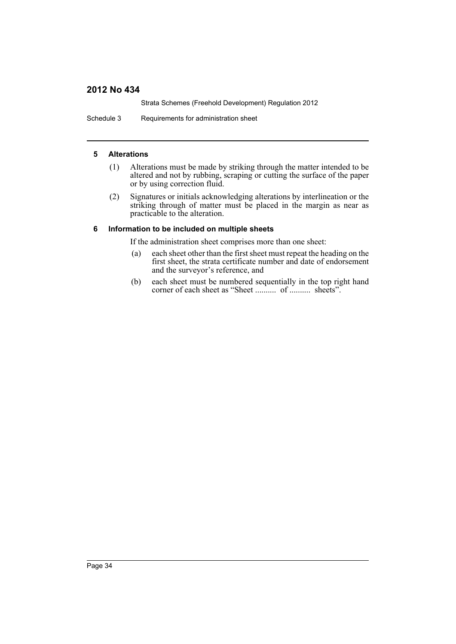Strata Schemes (Freehold Development) Regulation 2012

Schedule 3 Requirements for administration sheet

#### **5 Alterations**

- (1) Alterations must be made by striking through the matter intended to be altered and not by rubbing, scraping or cutting the surface of the paper or by using correction fluid.
- (2) Signatures or initials acknowledging alterations by interlineation or the striking through of matter must be placed in the margin as near as practicable to the alteration.

#### **6 Information to be included on multiple sheets**

If the administration sheet comprises more than one sheet:

- (a) each sheet other than the first sheet must repeat the heading on the first sheet, the strata certificate number and date of endorsement and the surveyor's reference, and
- (b) each sheet must be numbered sequentially in the top right hand corner of each sheet as "Sheet .......... of .......... sheets".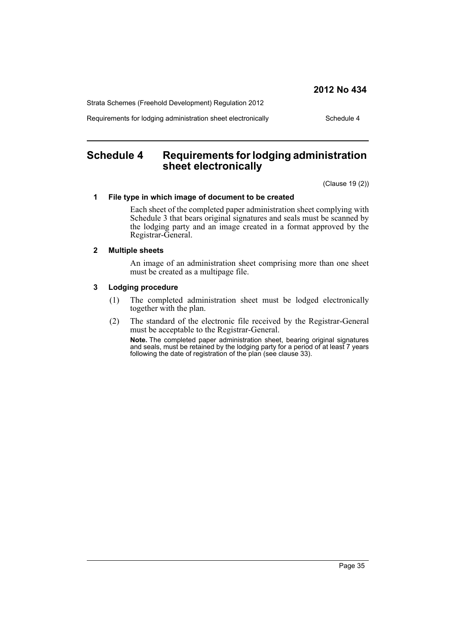Strata Schemes (Freehold Development) Regulation 2012

Requirements for lodging administration sheet electronically Schedule 4

# <span id="page-34-0"></span>**Schedule 4 Requirements for lodging administration sheet electronically**

(Clause 19 (2))

#### **1 File type in which image of document to be created**

Each sheet of the completed paper administration sheet complying with Schedule 3 that bears original signatures and seals must be scanned by the lodging party and an image created in a format approved by the Registrar-General.

#### **2 Multiple sheets**

An image of an administration sheet comprising more than one sheet must be created as a multipage file.

#### **3 Lodging procedure**

- (1) The completed administration sheet must be lodged electronically together with the plan.
- (2) The standard of the electronic file received by the Registrar-General must be acceptable to the Registrar-General.

**Note.** The completed paper administration sheet, bearing original signatures and seals, must be retained by the lodging party for a period of at least 7 years following the date of registration of the plan (see clause 33).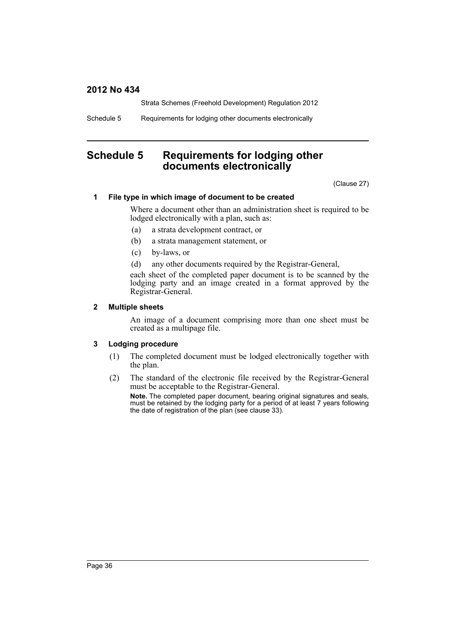Strata Schemes (Freehold Development) Regulation 2012

Schedule 5 Requirements for lodging other documents electronically

# <span id="page-35-0"></span>**Schedule 5 Requirements for lodging other documents electronically**

(Clause 27)

#### **1 File type in which image of document to be created**

Where a document other than an administration sheet is required to be lodged electronically with a plan, such as:

- (a) a strata development contract, or
- (b) a strata management statement, or
- (c) by-laws, or
- (d) any other documents required by the Registrar-General,

each sheet of the completed paper document is to be scanned by the lodging party and an image created in a format approved by the Registrar-General.

#### **2 Multiple sheets**

An image of a document comprising more than one sheet must be created as a multipage file.

#### **3 Lodging procedure**

- (1) The completed document must be lodged electronically together with the plan.
- (2) The standard of the electronic file received by the Registrar-General must be acceptable to the Registrar-General.

**Note.** The completed paper document, bearing original signatures and seals, must be retained by the lodging party for a period of at least 7 years following the date of registration of the plan (see clause 33).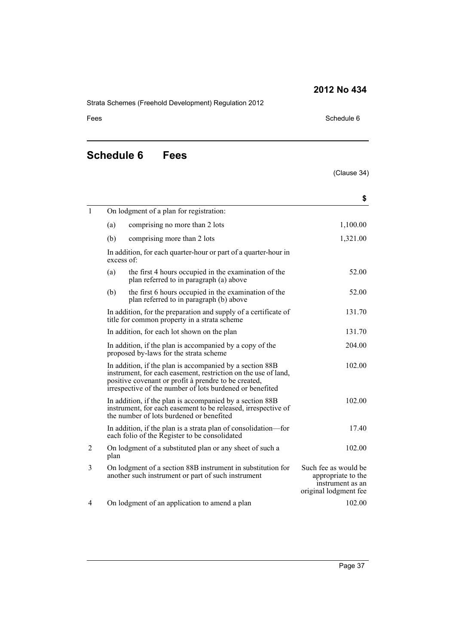Strata Schemes (Freehold Development) Regulation 2012

#### Fees Schedule 6

# <span id="page-36-0"></span>**Schedule 6 Fees**

### (Clause 34)

|              |                                                                                                                                                                       |                                                                                                                                                                                                                                                | \$                                                                                      |  |
|--------------|-----------------------------------------------------------------------------------------------------------------------------------------------------------------------|------------------------------------------------------------------------------------------------------------------------------------------------------------------------------------------------------------------------------------------------|-----------------------------------------------------------------------------------------|--|
| $\mathbf{1}$ |                                                                                                                                                                       | On lodgment of a plan for registration:                                                                                                                                                                                                        |                                                                                         |  |
|              | (a)                                                                                                                                                                   | comprising no more than 2 lots                                                                                                                                                                                                                 | 1,100.00                                                                                |  |
|              | (b)                                                                                                                                                                   | comprising more than 2 lots                                                                                                                                                                                                                    | 1,321.00                                                                                |  |
|              | excess of:                                                                                                                                                            | In addition, for each quarter-hour or part of a quarter-hour in                                                                                                                                                                                |                                                                                         |  |
|              | (a)                                                                                                                                                                   | the first 4 hours occupied in the examination of the<br>plan referred to in paragraph (a) above                                                                                                                                                | 52.00                                                                                   |  |
|              | (b)                                                                                                                                                                   | the first 6 hours occupied in the examination of the<br>plan referred to in paragraph (b) above                                                                                                                                                | 52.00                                                                                   |  |
|              |                                                                                                                                                                       | In addition, for the preparation and supply of a certificate of<br>title for common property in a strata scheme                                                                                                                                | 131.70                                                                                  |  |
|              |                                                                                                                                                                       | In addition, for each lot shown on the plan                                                                                                                                                                                                    | 131.70                                                                                  |  |
|              |                                                                                                                                                                       | In addition, if the plan is accompanied by a copy of the<br>proposed by-laws for the strata scheme                                                                                                                                             | 204.00                                                                                  |  |
|              |                                                                                                                                                                       | In addition, if the plan is accompanied by a section 88B<br>instrument, for each easement, restriction on the use of land,<br>positive covenant or profit à prendre to be created,<br>irrespective of the number of lots burdened or benefited | 102.00                                                                                  |  |
|              | In addition, if the plan is accompanied by a section 88B<br>instrument, for each easement to be released, irrespective of<br>the number of lots burdened or benefited |                                                                                                                                                                                                                                                | 102.00                                                                                  |  |
|              |                                                                                                                                                                       | In addition, if the plan is a strata plan of consolidation—for<br>each folio of the Register to be consolidated                                                                                                                                | 17.40                                                                                   |  |
| 2            | plan                                                                                                                                                                  | On lodgment of a substituted plan or any sheet of such a                                                                                                                                                                                       | 102.00                                                                                  |  |
| 3            |                                                                                                                                                                       | On lodgment of a section 88B instrument in substitution for<br>another such instrument or part of such instrument                                                                                                                              | Such fee as would be<br>appropriate to the<br>instrument as an<br>original lodgment fee |  |
| 4            |                                                                                                                                                                       | On lodgment of an application to amend a plan                                                                                                                                                                                                  | 102.00                                                                                  |  |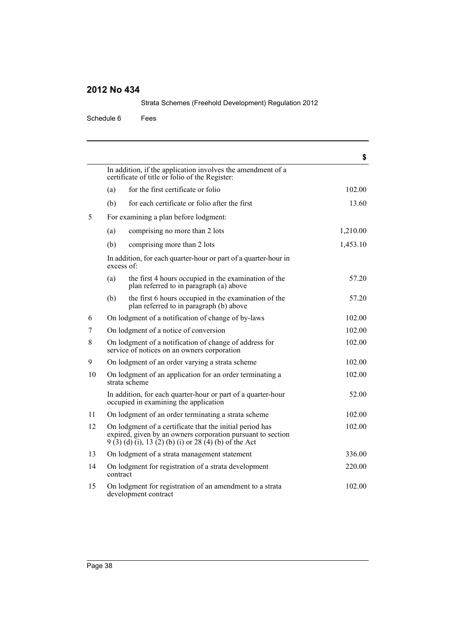Schedule 6 Fees

|    |                                                                                                                                                                                   | \$       |
|----|-----------------------------------------------------------------------------------------------------------------------------------------------------------------------------------|----------|
|    | In addition, if the application involves the amendment of a<br>certificate of title or folio of the Register:                                                                     |          |
|    | for the first certificate or folio<br>(a)                                                                                                                                         | 102.00   |
|    | for each certificate or folio after the first<br>(b)                                                                                                                              | 13.60    |
| 5  | For examining a plan before lodgment:                                                                                                                                             |          |
|    | comprising no more than 2 lots<br>(a)                                                                                                                                             | 1,210.00 |
|    | (b)<br>comprising more than 2 lots                                                                                                                                                | 1,453.10 |
|    | In addition, for each quarter-hour or part of a quarter-hour in<br>excess of:                                                                                                     |          |
|    | the first 4 hours occupied in the examination of the<br>(a)<br>plan referred to in paragraph (a) above                                                                            | 57.20    |
|    | (b)<br>the first 6 hours occupied in the examination of the<br>plan referred to in paragraph (b) above                                                                            | 57.20    |
| 6  | On lodgment of a notification of change of by-laws                                                                                                                                | 102.00   |
| 7  | On lodgment of a notice of conversion                                                                                                                                             | 102.00   |
| 8  | On lodgment of a notification of change of address for<br>service of notices on an owners corporation                                                                             | 102.00   |
| 9  | On lodgment of an order varying a strata scheme                                                                                                                                   | 102.00   |
| 10 | On lodgment of an application for an order terminating a<br>strata scheme                                                                                                         | 102.00   |
|    | In addition, for each quarter-hour or part of a quarter-hour<br>occupied in examining the application                                                                             | 52.00    |
| 11 | On lodgment of an order terminating a strata scheme                                                                                                                               | 102.00   |
| 12 | On lodgment of a certificate that the initial period has<br>expired, given by an owners corporation pursuant to section<br>$9(3)(d)(i)$ , 13 (2) (b) (i) or 28 (4) (b) of the Act | 102.00   |
| 13 | On lodgment of a strata management statement                                                                                                                                      | 336.00   |
| 14 | On lodgment for registration of a strata development<br>contract                                                                                                                  | 220.00   |
| 15 | On lodgment for registration of an amendment to a strata<br>development contract                                                                                                  | 102.00   |